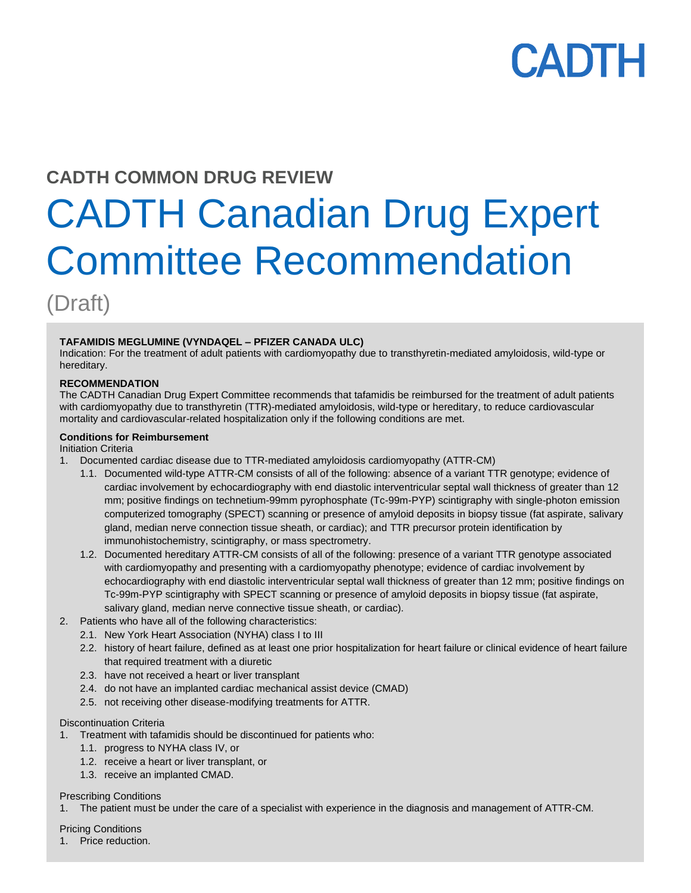# **CADTH COMMON DRUG REVIEW**

# CADTH Canadian Drug Expert Committee Recommendation

(Draft)

#### **TAFAMIDIS MEGLUMINE (VYNDAQEL – PFIZER CANADA ULC)**

Indication: For the treatment of adult patients with cardiomyopathy due to transthyretin-mediated amyloidosis, wild-type or hereditary.

#### **RECOMMENDATION**

The CADTH Canadian Drug Expert Committee recommends that tafamidis be reimbursed for the treatment of adult patients with cardiomyopathy due to transthyretin (TTR)-mediated amyloidosis, wild-type or hereditary, to reduce cardiovascular mortality and cardiovascular-related hospitalization only if the following conditions are met.

#### **Conditions for Reimbursement**

Initiation Criteria

- 1. Documented cardiac disease due to TTR-mediated amyloidosis cardiomyopathy (ATTR-CM)
	- 1.1. Documented wild-type ATTR-CM consists of all of the following: absence of a variant TTR genotype; evidence of cardiac involvement by echocardiography with end diastolic interventricular septal wall thickness of greater than 12 mm; positive findings on technetium-99mm pyrophosphate (Tc-99m-PYP) scintigraphy with single-photon emission computerized tomography (SPECT) scanning or presence of amyloid deposits in biopsy tissue (fat aspirate, salivary gland, median nerve connection tissue sheath, or cardiac); and TTR precursor protein identification by immunohistochemistry, scintigraphy, or mass spectrometry.
	- 1.2. Documented hereditary ATTR-CM consists of all of the following: presence of a variant TTR genotype associated with cardiomyopathy and presenting with a cardiomyopathy phenotype; evidence of cardiac involvement by echocardiography with end diastolic interventricular septal wall thickness of greater than 12 mm; positive findings on Tc-99m-PYP scintigraphy with SPECT scanning or presence of amyloid deposits in biopsy tissue (fat aspirate, salivary gland, median nerve connective tissue sheath, or cardiac).
- 2. Patients who have all of the following characteristics:
	- 2.1. New York Heart Association (NYHA) class I to III
	- 2.2. history of heart failure, defined as at least one prior hospitalization for heart failure or clinical evidence of heart failure that required treatment with a diuretic
	- 2.3. have not received a heart or liver transplant
	- 2.4. do not have an implanted cardiac mechanical assist device (CMAD)
	- 2.5. not receiving other disease-modifying treatments for ATTR.

#### Discontinuation Criteria

- 1. Treatment with tafamidis should be discontinued for patients who:
	- 1.1. progress to NYHA class IV, or
	- 1.2. receive a heart or liver transplant, or
- Service Line: CADTH Drug Reimbursement Recommendation 1.3. receive an implanted CMAD.

#### Prescribing Conditions

1. The patient must be under the care of a specialist with experience in the diagnosis and management of ATTR-CM.

**Pricing Conditions** 

1. Price reduction.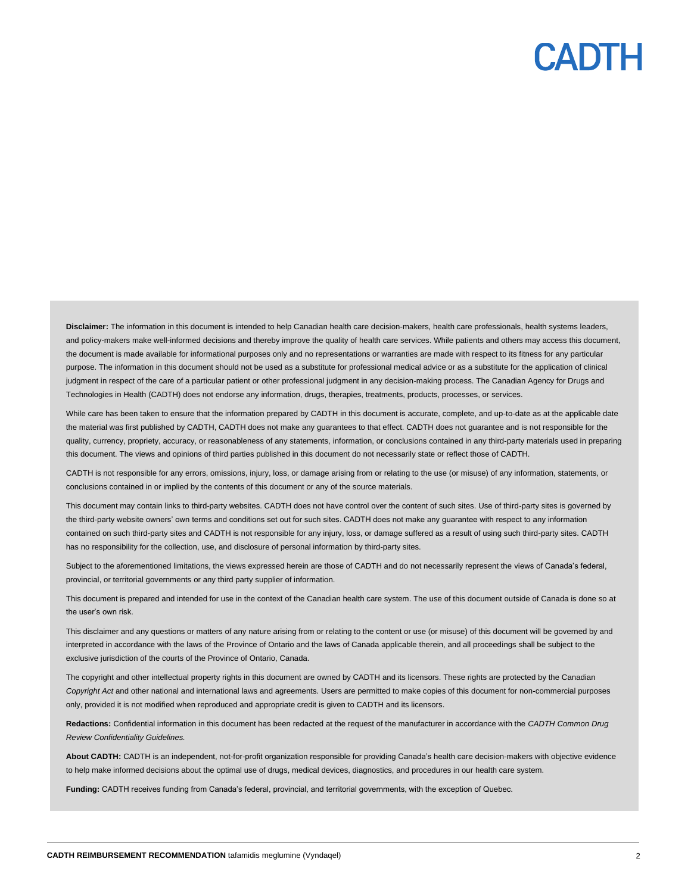Disclaimer: The information in this document is intended to help Canadian health care decision-makers, health care professionals, health systems leaders, and policy-makers make well-informed decisions and thereby improve the quality of health care services. While patients and others may access this document, the document is made available for informational purposes only and no representations or warranties are made with respect to its fitness for any particular purpose. The information in this document should not be used as a substitute for professional medical advice or as a substitute for the application of clinical judgment in respect of the care of a particular patient or other professional judgment in any decision-making process. The Canadian Agency for Drugs and Technologies in Health (CADTH) does not endorse any information, drugs, therapies, treatments, products, processes, or services.

While care has been taken to ensure that the information prepared by CADTH in this document is accurate, complete, and up-to-date as at the applicable date the material was first published by CADTH, CADTH does not make any guarantees to that effect. CADTH does not guarantee and is not responsible for the quality, currency, propriety, accuracy, or reasonableness of any statements, information, or conclusions contained in any third-party materials used in preparing this document. The views and opinions of third parties published in this document do not necessarily state or reflect those of CADTH.

CADTH is not responsible for any errors, omissions, injury, loss, or damage arising from or relating to the use (or misuse) of any information, statements, or conclusions contained in or implied by the contents of this document or any of the source materials.

This document may contain links to third-party websites. CADTH does not have control over the content of such sites. Use of third-party sites is governed by the third-party website owners' own terms and conditions set out for such sites. CADTH does not make any guarantee with respect to any information contained on such third-party sites and CADTH is not responsible for any injury, loss, or damage suffered as a result of using such third-party sites. CADTH has no responsibility for the collection, use, and disclosure of personal information by third-party sites.

Subject to the aforementioned limitations, the views expressed herein are those of CADTH and do not necessarily represent the views of Canada's federal, provincial, or territorial governments or any third party supplier of information.

This document is prepared and intended for use in the context of the Canadian health care system. The use of this document outside of Canada is done so at the user's own risk.

This disclaimer and any questions or matters of any nature arising from or relating to the content or use (or misuse) of this document will be governed by and interpreted in accordance with the laws of the Province of Ontario and the laws of Canada applicable therein, and all proceedings shall be subject to the exclusive jurisdiction of the courts of the Province of Ontario, Canada.

The copyright and other intellectual property rights in this document are owned by CADTH and its licensors. These rights are protected by the Canadian *Copyright Act* and other national and international laws and agreements. Users are permitted to make copies of this document for non-commercial purposes only, provided it is not modified when reproduced and appropriate credit is given to CADTH and its licensors.

**Redactions:** Confidential information in this document has been redacted at the request of the manufacturer in accordance with the *CADTH Common Drug Review Confidentiality Guidelines.*

**About CADTH:** CADTH is an independent, not-for-profit organization responsible for providing Canada's health care decision-makers with objective evidence to help make informed decisions about the optimal use of drugs, medical devices, diagnostics, and procedures in our health care system.

**Funding:** CADTH receives funding from Canada's federal, provincial, and territorial governments, with the exception of Quebec.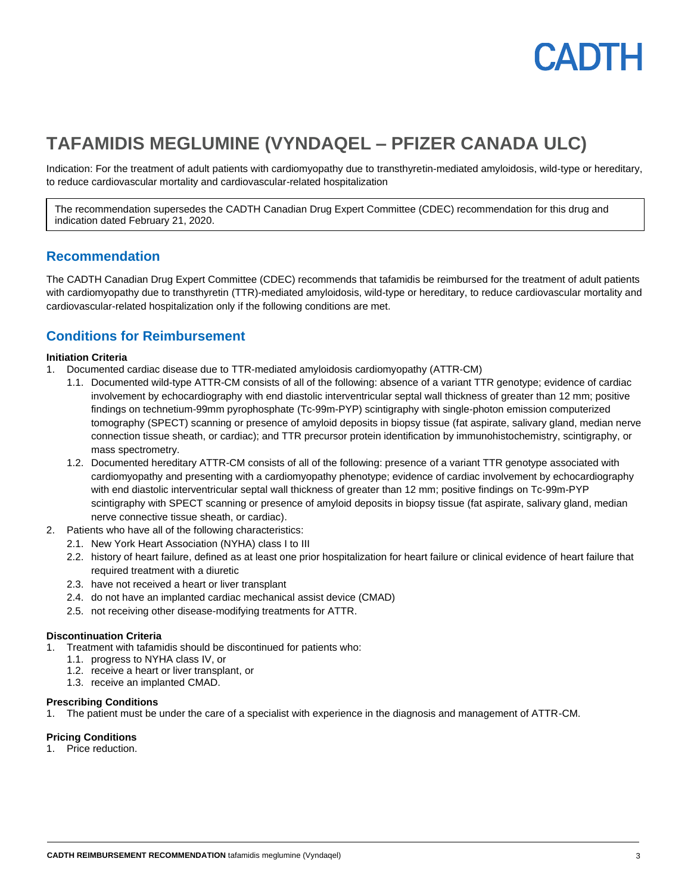

# **TAFAMIDIS MEGLUMINE (VYNDAQEL – PFIZER CANADA ULC)**

Indication: For the treatment of adult patients with cardiomyopathy due to transthyretin-mediated amyloidosis, wild-type or hereditary, to reduce cardiovascular mortality and cardiovascular-related hospitalization

The recommendation supersedes the CADTH Canadian Drug Expert Committee (CDEC) recommendation for this drug and indication dated February 21, 2020.

#### **Recommendation**

The CADTH Canadian Drug Expert Committee (CDEC) recommends that tafamidis be reimbursed for the treatment of adult patients with cardiomyopathy due to transthyretin (TTR)-mediated amyloidosis, wild-type or hereditary, to reduce cardiovascular mortality and cardiovascular-related hospitalization only if the following conditions are met.

### **Conditions for Reimbursement**

#### **Initiation Criteria**

- 1. Documented cardiac disease due to TTR-mediated amyloidosis cardiomyopathy (ATTR-CM)
	- 1.1. Documented wild-type ATTR-CM consists of all of the following: absence of a variant TTR genotype; evidence of cardiac involvement by echocardiography with end diastolic interventricular septal wall thickness of greater than 12 mm; positive findings on technetium-99mm pyrophosphate (Tc-99m-PYP) scintigraphy with single-photon emission computerized tomography (SPECT) scanning or presence of amyloid deposits in biopsy tissue (fat aspirate, salivary gland, median nerve connection tissue sheath, or cardiac); and TTR precursor protein identification by immunohistochemistry, scintigraphy, or mass spectrometry.
	- 1.2. Documented hereditary ATTR-CM consists of all of the following: presence of a variant TTR genotype associated with cardiomyopathy and presenting with a cardiomyopathy phenotype; evidence of cardiac involvement by echocardiography with end diastolic interventricular septal wall thickness of greater than 12 mm; positive findings on Tc-99m-PYP scintigraphy with SPECT scanning or presence of amyloid deposits in biopsy tissue (fat aspirate, salivary gland, median nerve connective tissue sheath, or cardiac).
- 2. Patients who have all of the following characteristics:
	- 2.1. New York Heart Association (NYHA) class I to III
	- 2.2. history of heart failure, defined as at least one prior hospitalization for heart failure or clinical evidence of heart failure that required treatment with a diuretic
	- 2.3. have not received a heart or liver transplant
	- 2.4. do not have an implanted cardiac mechanical assist device (CMAD)
	- 2.5. not receiving other disease-modifying treatments for ATTR.

#### **Discontinuation Criteria**

- 1. Treatment with tafamidis should be discontinued for patients who:
	- 1.1. progress to NYHA class IV, or
	- 1.2. receive a heart or liver transplant, or
	- 1.3. receive an implanted CMAD.

#### **Prescribing Conditions**

1. The patient must be under the care of a specialist with experience in the diagnosis and management of ATTR-CM.

#### **Pricing Conditions**

1. Price reduction.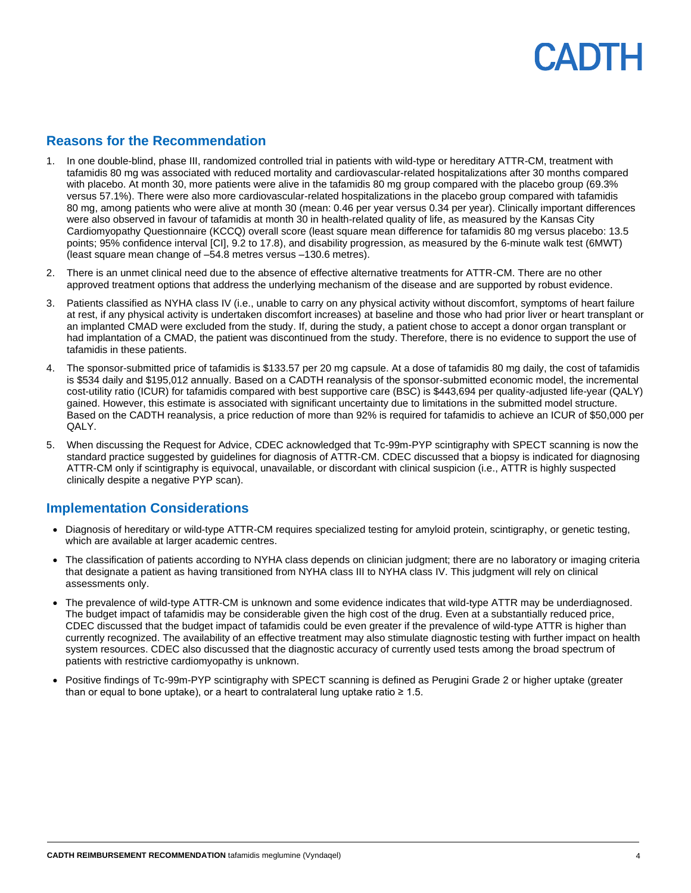### **Reasons for the Recommendation**

- 1. In one double-blind, phase III, randomized controlled trial in patients with wild-type or hereditary ATTR-CM, treatment with tafamidis 80 mg was associated with reduced mortality and cardiovascular-related hospitalizations after 30 months compared with placebo. At month 30, more patients were alive in the tafamidis 80 mg group compared with the placebo group (69.3% versus 57.1%). There were also more cardiovascular-related hospitalizations in the placebo group compared with tafamidis 80 mg, among patients who were alive at month 30 (mean: 0.46 per year versus 0.34 per year). Clinically important differences were also observed in favour of tafamidis at month 30 in health-related quality of life, as measured by the Kansas City Cardiomyopathy Questionnaire (KCCQ) overall score (least square mean difference for tafamidis 80 mg versus placebo: 13.5 points; 95% confidence interval [CI], 9.2 to 17.8), and disability progression, as measured by the 6-minute walk test (6MWT) (least square mean change of –54.8 metres versus –130.6 metres).
- 2. There is an unmet clinical need due to the absence of effective alternative treatments for ATTR-CM. There are no other approved treatment options that address the underlying mechanism of the disease and are supported by robust evidence.
- 3. Patients classified as NYHA class IV (i.e., unable to carry on any physical activity without discomfort, symptoms of heart failure at rest, if any physical activity is undertaken discomfort increases) at baseline and those who had prior liver or heart transplant or an implanted CMAD were excluded from the study. If, during the study, a patient chose to accept a donor organ transplant or had implantation of a CMAD, the patient was discontinued from the study. Therefore, there is no evidence to support the use of tafamidis in these patients.
- 4. The sponsor-submitted price of tafamidis is \$133.57 per 20 mg capsule. At a dose of tafamidis 80 mg daily, the cost of tafamidis is \$534 daily and \$195,012 annually. Based on a CADTH reanalysis of the sponsor-submitted economic model, the incremental cost-utility ratio (ICUR) for tafamidis compared with best supportive care (BSC) is \$443,694 per quality-adjusted life-year (QALY) gained. However, this estimate is associated with significant uncertainty due to limitations in the submitted model structure. Based on the CADTH reanalysis, a price reduction of more than 92% is required for tafamidis to achieve an ICUR of \$50,000 per QALY.
- 5. When discussing the Request for Advice, CDEC acknowledged that Tc-99m-PYP scintigraphy with SPECT scanning is now the standard practice suggested by guidelines for diagnosis of ATTR-CM. CDEC discussed that a biopsy is indicated for diagnosing ATTR-CM only if scintigraphy is equivocal, unavailable, or discordant with clinical suspicion (i.e., ATTR is highly suspected clinically despite a negative PYP scan).

### **Implementation Considerations**

- Diagnosis of hereditary or wild-type ATTR-CM requires specialized testing for amyloid protein, scintigraphy, or genetic testing, which are available at larger academic centres.
- The classification of patients according to NYHA class depends on clinician judgment; there are no laboratory or imaging criteria that designate a patient as having transitioned from NYHA class III to NYHA class IV. This judgment will rely on clinical assessments only.
- The prevalence of wild-type ATTR-CM is unknown and some evidence indicates that wild-type ATTR may be underdiagnosed. The budget impact of tafamidis may be considerable given the high cost of the drug. Even at a substantially reduced price, CDEC discussed that the budget impact of tafamidis could be even greater if the prevalence of wild-type ATTR is higher than currently recognized. The availability of an effective treatment may also stimulate diagnostic testing with further impact on health system resources. CDEC also discussed that the diagnostic accuracy of currently used tests among the broad spectrum of patients with restrictive cardiomyopathy is unknown.
- Positive findings of Tc-99m-PYP scintigraphy with SPECT scanning is defined as Perugini Grade 2 or higher uptake (greater than or equal to bone uptake), or a heart to contralateral lung uptake ratio  $\geq 1.5$ .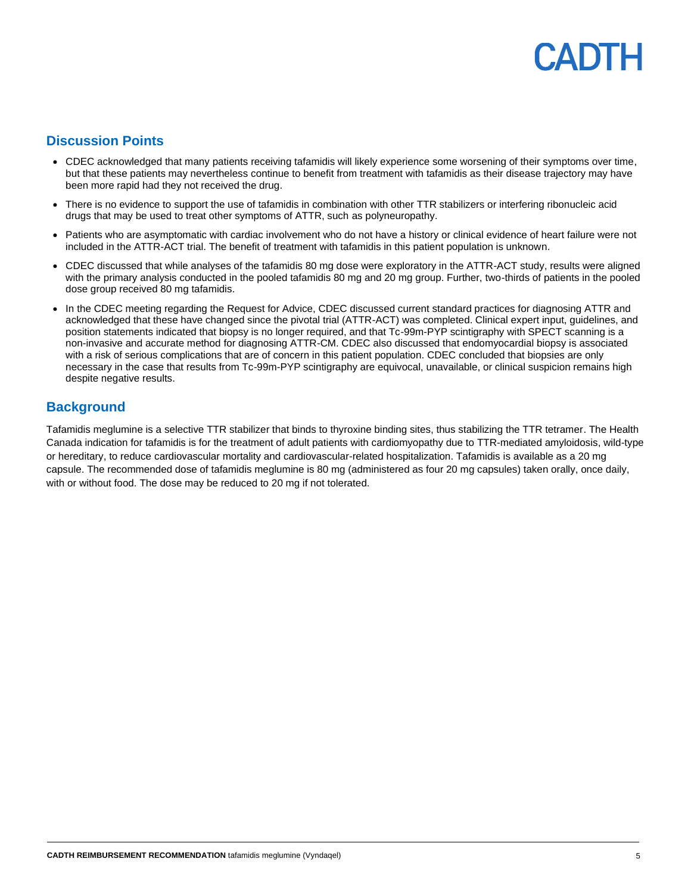# CADIH

## **Discussion Points**

- CDEC acknowledged that many patients receiving tafamidis will likely experience some worsening of their symptoms over time, but that these patients may nevertheless continue to benefit from treatment with tafamidis as their disease trajectory may have been more rapid had they not received the drug.
- There is no evidence to support the use of tafamidis in combination with other TTR stabilizers or interfering ribonucleic acid drugs that may be used to treat other symptoms of ATTR, such as polyneuropathy.
- Patients who are asymptomatic with cardiac involvement who do not have a history or clinical evidence of heart failure were not included in the ATTR-ACT trial. The benefit of treatment with tafamidis in this patient population is unknown.
- CDEC discussed that while analyses of the tafamidis 80 mg dose were exploratory in the ATTR-ACT study, results were aligned with the primary analysis conducted in the pooled tafamidis 80 mg and 20 mg group. Further, two-thirds of patients in the pooled dose group received 80 mg tafamidis.
- In the CDEC meeting regarding the Request for Advice, CDEC discussed current standard practices for diagnosing ATTR and acknowledged that these have changed since the pivotal trial (ATTR-ACT) was completed. Clinical expert input, guidelines, and position statements indicated that biopsy is no longer required, and that Tc-99m-PYP scintigraphy with SPECT scanning is a non-invasive and accurate method for diagnosing ATTR-CM. CDEC also discussed that endomyocardial biopsy is associated with a risk of serious complications that are of concern in this patient population. CDEC concluded that biopsies are only necessary in the case that results from Tc-99m-PYP scintigraphy are equivocal, unavailable, or clinical suspicion remains high despite negative results.

### **Background**

Tafamidis meglumine is a selective TTR stabilizer that binds to thyroxine binding sites, thus stabilizing the TTR tetramer. The Health Canada indication for tafamidis is for the treatment of adult patients with cardiomyopathy due to TTR-mediated amyloidosis, wild-type or hereditary, to reduce cardiovascular mortality and cardiovascular-related hospitalization. Tafamidis is available as a 20 mg capsule. The recommended dose of tafamidis meglumine is 80 mg (administered as four 20 mg capsules) taken orally, once daily, with or without food. The dose may be reduced to 20 mg if not tolerated.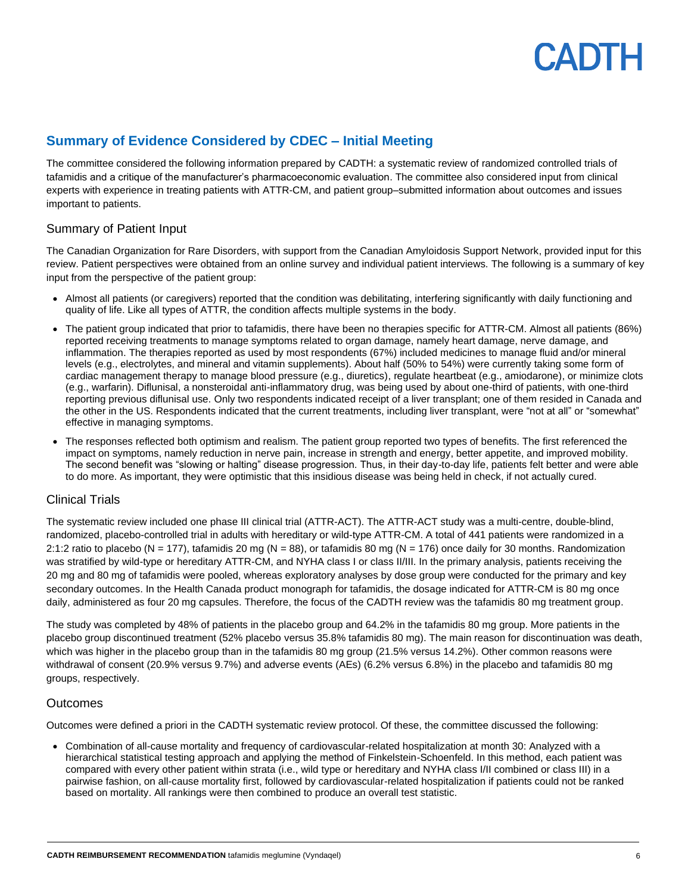## **Summary of Evidence Considered by CDEC – Initial Meeting**

The committee considered the following information prepared by CADTH: a systematic review of randomized controlled trials of tafamidis and a critique of the manufacturer's pharmacoeconomic evaluation. The committee also considered input from clinical experts with experience in treating patients with ATTR-CM, and patient group–submitted information about outcomes and issues important to patients.

#### Summary of Patient Input

The Canadian Organization for Rare Disorders, with support from the Canadian Amyloidosis Support Network, provided input for this review. Patient perspectives were obtained from an online survey and individual patient interviews. The following is a summary of key input from the perspective of the patient group:

- Almost all patients (or caregivers) reported that the condition was debilitating, interfering significantly with daily functioning and quality of life. Like all types of ATTR, the condition affects multiple systems in the body.
- The patient group indicated that prior to tafamidis, there have been no therapies specific for ATTR-CM. Almost all patients (86%) reported receiving treatments to manage symptoms related to organ damage, namely heart damage, nerve damage, and inflammation. The therapies reported as used by most respondents (67%) included medicines to manage fluid and/or mineral levels (e.g., electrolytes, and mineral and vitamin supplements). About half (50% to 54%) were currently taking some form of cardiac management therapy to manage blood pressure (e.g., diuretics), regulate heartbeat (e.g., amiodarone), or minimize clots (e.g., warfarin). Diflunisal, a nonsteroidal anti-inflammatory drug, was being used by about one-third of patients, with one-third reporting previous diflunisal use. Only two respondents indicated receipt of a liver transplant; one of them resided in Canada and the other in the US. Respondents indicated that the current treatments, including liver transplant, were "not at all" or "somewhat" effective in managing symptoms.
- The responses reflected both optimism and realism. The patient group reported two types of benefits. The first referenced the impact on symptoms, namely reduction in nerve pain, increase in strength and energy, better appetite, and improved mobility. The second benefit was "slowing or halting" disease progression. Thus, in their day-to-day life, patients felt better and were able to do more. As important, they were optimistic that this insidious disease was being held in check, if not actually cured.

#### Clinical Trials

The systematic review included one phase III clinical trial (ATTR-ACT). The ATTR-ACT study was a multi-centre, double-blind, randomized, placebo-controlled trial in adults with hereditary or wild-type ATTR-CM. A total of 441 patients were randomized in a 2:1:2 ratio to placebo (N = 177), tafamidis 20 mg (N = 88), or tafamidis 80 mg (N = 176) once daily for 30 months. Randomization was stratified by wild-type or hereditary ATTR-CM, and NYHA class I or class II/III. In the primary analysis, patients receiving the 20 mg and 80 mg of tafamidis were pooled, whereas exploratory analyses by dose group were conducted for the primary and key secondary outcomes. In the Health Canada product monograph for tafamidis, the dosage indicated for ATTR-CM is 80 mg once daily, administered as four 20 mg capsules. Therefore, the focus of the CADTH review was the tafamidis 80 mg treatment group.

The study was completed by 48% of patients in the placebo group and 64.2% in the tafamidis 80 mg group. More patients in the placebo group discontinued treatment (52% placebo versus 35.8% tafamidis 80 mg). The main reason for discontinuation was death, which was higher in the placebo group than in the tafamidis 80 mg group (21.5% versus 14.2%). Other common reasons were withdrawal of consent (20.9% versus 9.7%) and adverse events (AEs) (6.2% versus 6.8%) in the placebo and tafamidis 80 mg groups, respectively.

#### Outcomes

Outcomes were defined a priori in the CADTH systematic review protocol. Of these, the committee discussed the following:

• Combination of all-cause mortality and frequency of cardiovascular-related hospitalization at month 30: Analyzed with a hierarchical statistical testing approach and applying the method of Finkelstein-Schoenfeld. In this method, each patient was compared with every other patient within strata (i.e., wild type or hereditary and NYHA class I/II combined or class III) in a pairwise fashion, on all-cause mortality first, followed by cardiovascular-related hospitalization if patients could not be ranked based on mortality. All rankings were then combined to produce an overall test statistic.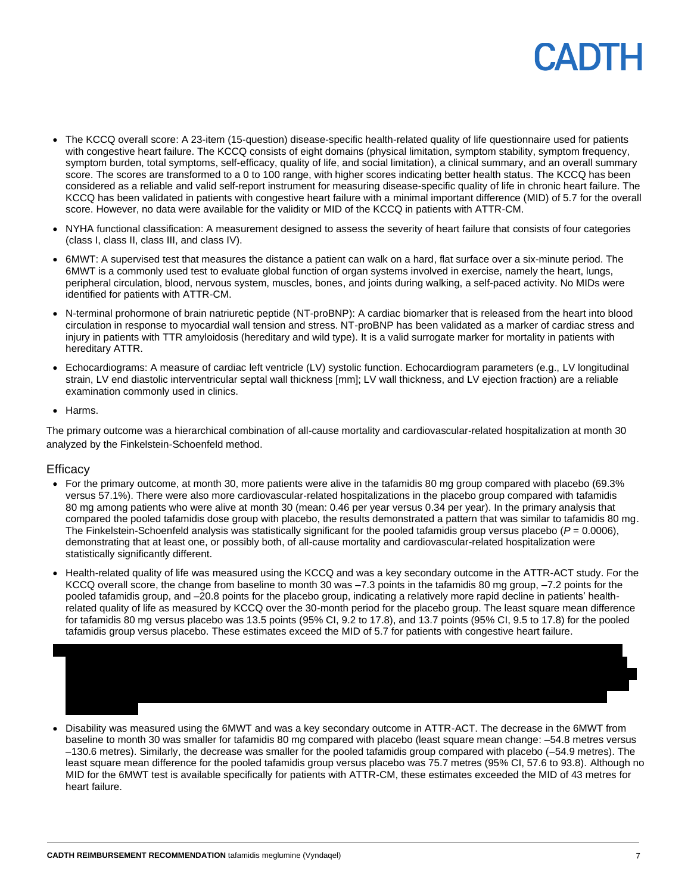- The KCCQ overall score: A 23-item (15-question) disease-specific health-related quality of life questionnaire used for patients with congestive heart failure. The KCCQ consists of eight domains (physical limitation, symptom stability, symptom frequency, symptom burden, total symptoms, self-efficacy, quality of life, and social limitation), a clinical summary, and an overall summary score. The scores are transformed to a 0 to 100 range, with higher scores indicating better health status. The KCCQ has been considered as a reliable and valid self-report instrument for measuring disease-specific quality of life in chronic heart failure. The KCCQ has been validated in patients with congestive heart failure with a minimal important difference (MID) of 5.7 for the overall score. However, no data were available for the validity or MID of the KCCQ in patients with ATTR-CM.
- NYHA functional classification: A measurement designed to assess the severity of heart failure that consists of four categories (class I, class II, class III, and class IV).
- 6MWT: A supervised test that measures the distance a patient can walk on a hard, flat surface over a six-minute period. The 6MWT is a commonly used test to evaluate global function of organ systems involved in exercise, namely the heart, lungs, peripheral circulation, blood, nervous system, muscles, bones, and joints during walking, a self-paced activity. No MIDs were identified for patients with ATTR-CM.
- N-terminal prohormone of brain natriuretic peptide (NT-proBNP): A cardiac biomarker that is released from the heart into blood circulation in response to myocardial wall tension and stress. NT-proBNP has been validated as a marker of cardiac stress and injury in patients with TTR amyloidosis (hereditary and wild type). It is a valid surrogate marker for mortality in patients with hereditary ATTR.
- Echocardiograms: A measure of cardiac left ventricle (LV) systolic function. Echocardiogram parameters (e.g., LV longitudinal strain, LV end diastolic interventricular septal wall thickness [mm]; LV wall thickness, and LV ejection fraction) are a reliable examination commonly used in clinics.
- Harms.

The primary outcome was a hierarchical combination of all-cause mortality and cardiovascular-related hospitalization at month 30 analyzed by the Finkelstein-Schoenfeld method.

#### **Efficacy**

- For the primary outcome, at month 30, more patients were alive in the tafamidis 80 mg group compared with placebo (69.3% versus 57.1%). There were also more cardiovascular-related hospitalizations in the placebo group compared with tafamidis 80 mg among patients who were alive at month 30 (mean: 0.46 per year versus 0.34 per year). In the primary analysis that compared the pooled tafamidis dose group with placebo, the results demonstrated a pattern that was similar to tafamidis 80 mg. The Finkelstein-Schoenfeld analysis was statistically significant for the pooled tafamidis group versus placebo ( $P = 0.0006$ ), demonstrating that at least one, or possibly both, of all-cause mortality and cardiovascular-related hospitalization were statistically significantly different.
- Health-related quality of life was measured using the KCCQ and was a key secondary outcome in the ATTR-ACT study. For the KCCQ overall score, the change from baseline to month 30 was –7.3 points in the tafamidis 80 mg group, –7.2 points for the pooled tafamidis group, and –20.8 points for the placebo group, indicating a relatively more rapid decline in patients' healthrelated quality of life as measured by KCCQ over the 30-month period for the placebo group. The least square mean difference for tafamidis 80 mg versus placebo was 13.5 points (95% CI, 9.2 to 17.8), and 13.7 points (95% CI, 9.5 to 17.8) for the pooled tafamidis group versus placebo. These estimates exceed the MID of 5.7 for patients with congestive heart failure.



• Disability was measured using the 6MWT and was a key secondary outcome in ATTR-ACT. The decrease in the 6MWT from baseline to month 30 was smaller for tafamidis 80 mg compared with placebo (least square mean change: –54.8 metres versus –130.6 metres). Similarly, the decrease was smaller for the pooled tafamidis group compared with placebo (–54.9 metres). The least square mean difference for the pooled tafamidis group versus placebo was 75.7 metres (95% CI, 57.6 to 93.8). Although no MID for the 6MWT test is available specifically for patients with ATTR-CM, these estimates exceeded the MID of 43 metres for heart failure.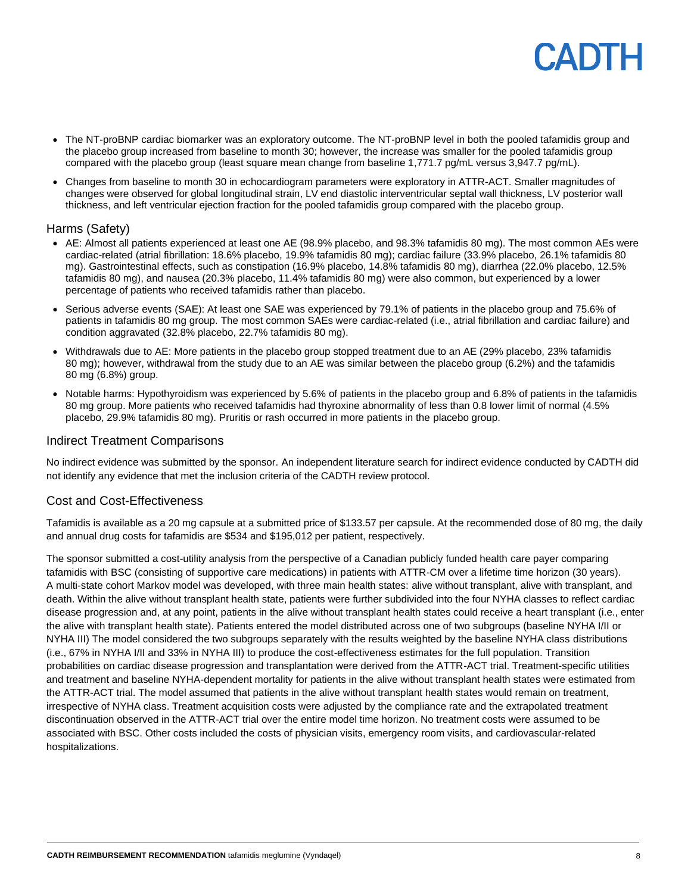- The NT-proBNP cardiac biomarker was an exploratory outcome. The NT-proBNP level in both the pooled tafamidis group and the placebo group increased from baseline to month 30; however, the increase was smaller for the pooled tafamidis group compared with the placebo group (least square mean change from baseline 1,771.7 pg/mL versus 3,947.7 pg/mL).
- Changes from baseline to month 30 in echocardiogram parameters were exploratory in ATTR-ACT. Smaller magnitudes of changes were observed for global longitudinal strain, LV end diastolic interventricular septal wall thickness, LV posterior wall thickness, and left ventricular ejection fraction for the pooled tafamidis group compared with the placebo group.

#### Harms (Safety)

- AE: Almost all patients experienced at least one AE (98.9% placebo, and 98.3% tafamidis 80 mg). The most common AEs were cardiac-related (atrial fibrillation: 18.6% placebo, 19.9% tafamidis 80 mg); cardiac failure (33.9% placebo, 26.1% tafamidis 80 mg). Gastrointestinal effects, such as constipation (16.9% placebo, 14.8% tafamidis 80 mg), diarrhea (22.0% placebo, 12.5% tafamidis 80 mg), and nausea (20.3% placebo, 11.4% tafamidis 80 mg) were also common, but experienced by a lower percentage of patients who received tafamidis rather than placebo.
- Serious adverse events (SAE): At least one SAE was experienced by 79.1% of patients in the placebo group and 75.6% of patients in tafamidis 80 mg group. The most common SAEs were cardiac-related (i.e., atrial fibrillation and cardiac failure) and condition aggravated (32.8% placebo, 22.7% tafamidis 80 mg).
- Withdrawals due to AE: More patients in the placebo group stopped treatment due to an AE (29% placebo, 23% tafamidis 80 mg); however, withdrawal from the study due to an AE was similar between the placebo group (6.2%) and the tafamidis 80 mg (6.8%) group.
- Notable harms: Hypothyroidism was experienced by 5.6% of patients in the placebo group and 6.8% of patients in the tafamidis 80 mg group. More patients who received tafamidis had thyroxine abnormality of less than 0.8 lower limit of normal (4.5% placebo, 29.9% tafamidis 80 mg). Pruritis or rash occurred in more patients in the placebo group.

#### Indirect Treatment Comparisons

No indirect evidence was submitted by the sponsor. An independent literature search for indirect evidence conducted by CADTH did not identify any evidence that met the inclusion criteria of the CADTH review protocol.

#### Cost and Cost-Effectiveness

Tafamidis is available as a 20 mg capsule at a submitted price of \$133.57 per capsule. At the recommended dose of 80 mg, the daily and annual drug costs for tafamidis are \$534 and \$195,012 per patient, respectively.

The sponsor submitted a cost-utility analysis from the perspective of a Canadian publicly funded health care payer comparing tafamidis with BSC (consisting of supportive care medications) in patients with ATTR-CM over a lifetime time horizon (30 years). A multi-state cohort Markov model was developed, with three main health states: alive without transplant, alive with transplant, and death. Within the alive without transplant health state, patients were further subdivided into the four NYHA classes to reflect cardiac disease progression and, at any point, patients in the alive without transplant health states could receive a heart transplant (i.e., enter the alive with transplant health state). Patients entered the model distributed across one of two subgroups (baseline NYHA I/II or NYHA III) The model considered the two subgroups separately with the results weighted by the baseline NYHA class distributions (i.e., 67% in NYHA I/II and 33% in NYHA III) to produce the cost-effectiveness estimates for the full population. Transition probabilities on cardiac disease progression and transplantation were derived from the ATTR-ACT trial. Treatment-specific utilities and treatment and baseline NYHA-dependent mortality for patients in the alive without transplant health states were estimated from the ATTR-ACT trial. The model assumed that patients in the alive without transplant health states would remain on treatment, irrespective of NYHA class. Treatment acquisition costs were adjusted by the compliance rate and the extrapolated treatment discontinuation observed in the ATTR-ACT trial over the entire model time horizon. No treatment costs were assumed to be associated with BSC. Other costs included the costs of physician visits, emergency room visits, and cardiovascular-related hospitalizations.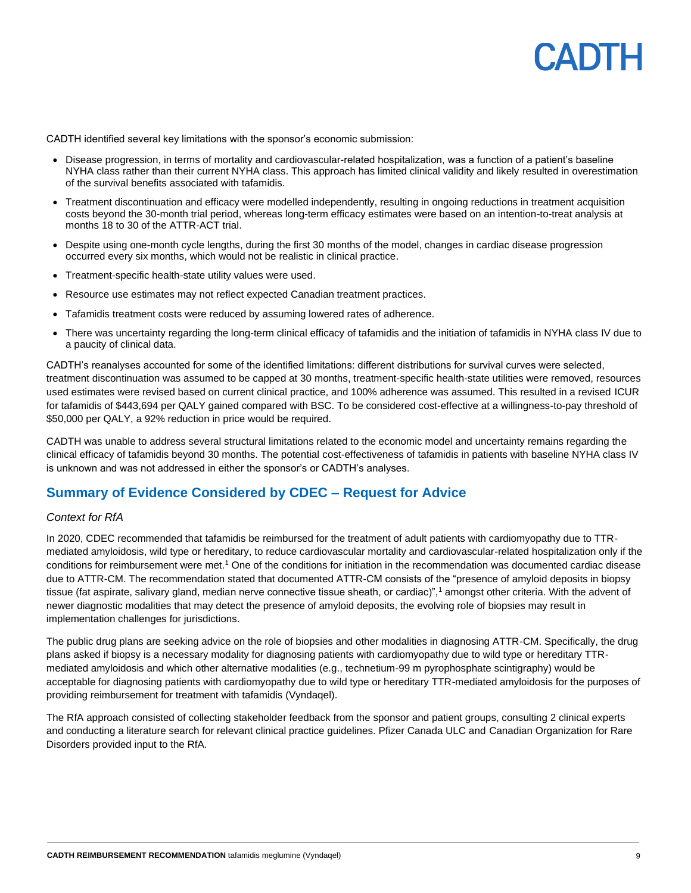CADTH identified several key limitations with the sponsor's economic submission:

- Disease progression, in terms of mortality and cardiovascular-related hospitalization, was a function of a patient's baseline NYHA class rather than their current NYHA class. This approach has limited clinical validity and likely resulted in overestimation of the survival benefits associated with tafamidis.
- Treatment discontinuation and efficacy were modelled independently, resulting in ongoing reductions in treatment acquisition costs beyond the 30-month trial period, whereas long-term efficacy estimates were based on an intention-to-treat analysis at months 18 to 30 of the ATTR-ACT trial.
- Despite using one-month cycle lengths, during the first 30 months of the model, changes in cardiac disease progression occurred every six months, which would not be realistic in clinical practice.
- Treatment-specific health-state utility values were used.
- Resource use estimates may not reflect expected Canadian treatment practices.
- Tafamidis treatment costs were reduced by assuming lowered rates of adherence.
- There was uncertainty regarding the long-term clinical efficacy of tafamidis and the initiation of tafamidis in NYHA class IV due to a paucity of clinical data.

CADTH's reanalyses accounted for some of the identified limitations: different distributions for survival curves were selected, treatment discontinuation was assumed to be capped at 30 months, treatment-specific health-state utilities were removed, resources used estimates were revised based on current clinical practice, and 100% adherence was assumed. This resulted in a revised ICUR for tafamidis of \$443,694 per QALY gained compared with BSC. To be considered cost-effective at a willingness-to-pay threshold of \$50,000 per QALY, a 92% reduction in price would be required.

CADTH was unable to address several structural limitations related to the economic model and uncertainty remains regarding the clinical efficacy of tafamidis beyond 30 months. The potential cost-effectiveness of tafamidis in patients with baseline NYHA class IV is unknown and was not addressed in either the sponsor's or CADTH's analyses.

#### **Summary of Evidence Considered by CDEC – Request for Advice**

#### *Context for RfA*

In 2020, CDEC recommended that tafamidis be reimbursed for the treatment of adult patients with cardiomyopathy due to TTRmediated amyloidosis, wild type or hereditary, to reduce cardiovascular mortality and cardiovascular-related hospitalization only if the conditions for reimbursement were met.<sup>1</sup> One of the conditions for initiation in the recommendation was documented cardiac disease due to ATTR-CM. The recommendation stated that documented ATTR-CM consists of the "presence of amyloid deposits in biopsy tissue (fat aspirate, salivary gland, median nerve connective tissue sheath, or cardiac)",<sup>1</sup> amongst other criteria. With the advent of newer diagnostic modalities that may detect the presence of amyloid deposits, the evolving role of biopsies may result in implementation challenges for jurisdictions.

The public drug plans are seeking advice on the role of biopsies and other modalities in diagnosing ATTR-CM. Specifically, the drug plans asked if biopsy is a necessary modality for diagnosing patients with cardiomyopathy due to wild type or hereditary TTRmediated amyloidosis and which other alternative modalities (e.g., technetium-99 m pyrophosphate scintigraphy) would be acceptable for diagnosing patients with cardiomyopathy due to wild type or hereditary TTR-mediated amyloidosis for the purposes of providing reimbursement for treatment with tafamidis (Vyndaqel).

The RfA approach consisted of collecting stakeholder feedback from the sponsor and patient groups, consulting 2 clinical experts and conducting a literature search for relevant clinical practice guidelines. Pfizer Canada ULC and Canadian Organization for Rare Disorders provided input to the RfA.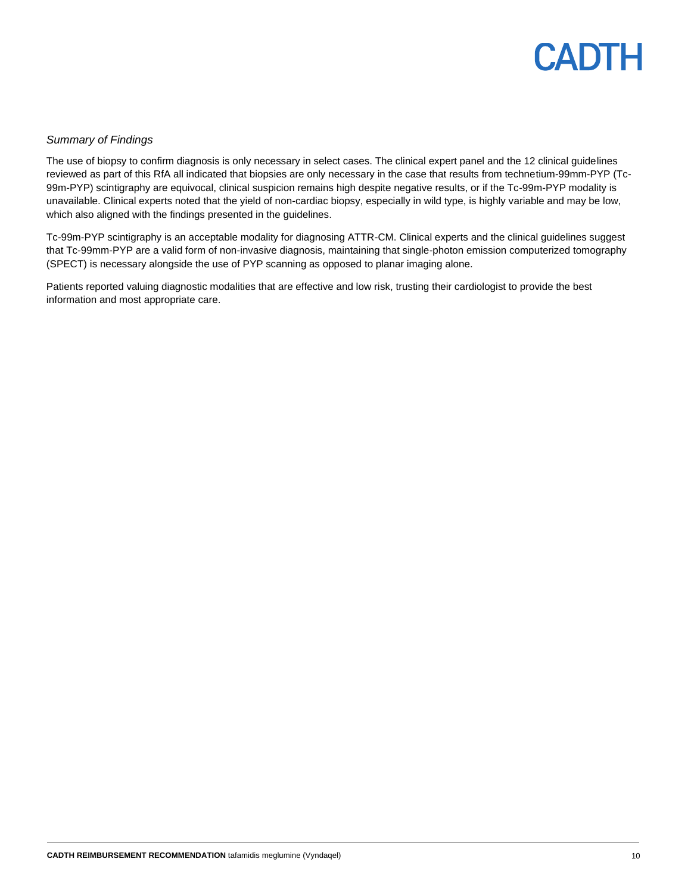

#### *Summary of Findings*

The use of biopsy to confirm diagnosis is only necessary in select cases. The clinical expert panel and the 12 clinical guidelines reviewed as part of this RfA all indicated that biopsies are only necessary in the case that results from technetium-99mm-PYP (Tc-99m-PYP) scintigraphy are equivocal, clinical suspicion remains high despite negative results, or if the Tc-99m-PYP modality is unavailable. Clinical experts noted that the yield of non-cardiac biopsy, especially in wild type, is highly variable and may be low, which also aligned with the findings presented in the guidelines.

Tc-99m-PYP scintigraphy is an acceptable modality for diagnosing ATTR-CM. Clinical experts and the clinical guidelines suggest that Tc-99mm-PYP are a valid form of non-invasive diagnosis, maintaining that single-photon emission computerized tomography (SPECT) is necessary alongside the use of PYP scanning as opposed to planar imaging alone.

Patients reported valuing diagnostic modalities that are effective and low risk, trusting their cardiologist to provide the best information and most appropriate care.